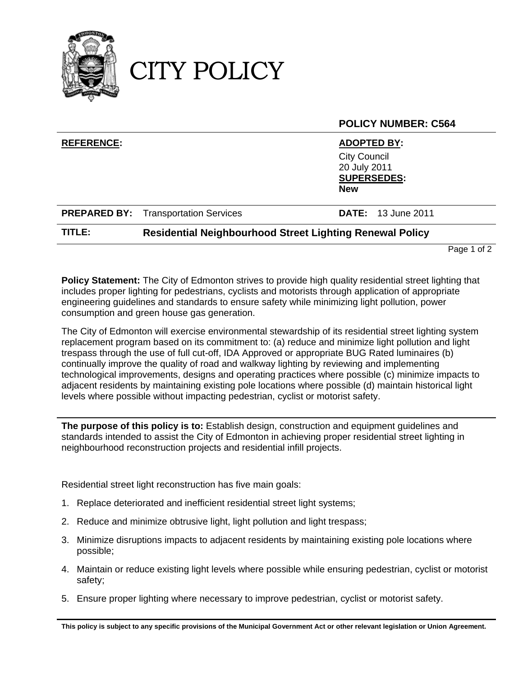

CITY POLICY

|                   |                                                                 | <b>POLICY NUMBER: C564</b>                                                                    |
|-------------------|-----------------------------------------------------------------|-----------------------------------------------------------------------------------------------|
| <b>REFERENCE:</b> |                                                                 | <b>ADOPTED BY:</b><br><b>City Council</b><br>20 July 2011<br><b>SUPERSEDES:</b><br><b>New</b> |
|                   | <b>PREPARED BY:</b> Transportation Services                     | <b>DATE:</b> 13 June 2011                                                                     |
| TITLE:            | <b>Residential Neighbourhood Street Lighting Renewal Policy</b> |                                                                                               |

Page 1 of 2

**Policy Statement:** The City of Edmonton strives to provide high quality residential street lighting that includes proper lighting for pedestrians, cyclists and motorists through application of appropriate engineering guidelines and standards to ensure safety while minimizing light pollution, power consumption and green house gas generation.

The City of Edmonton will exercise environmental stewardship of its residential street lighting system replacement program based on its commitment to: (a) reduce and minimize light pollution and light trespass through the use of full cut-off, IDA Approved or appropriate BUG Rated luminaires (b) continually improve the quality of road and walkway lighting by reviewing and implementing technological improvements, designs and operating practices where possible (c) minimize impacts to adjacent residents by maintaining existing pole locations where possible (d) maintain historical light levels where possible without impacting pedestrian, cyclist or motorist safety.

**The purpose of this policy is to:** Establish design, construction and equipment guidelines and standards intended to assist the City of Edmonton in achieving proper residential street lighting in neighbourhood reconstruction projects and residential infill projects.

Residential street light reconstruction has five main goals:

- 1. Replace deteriorated and inefficient residential street light systems;
- 2. Reduce and minimize obtrusive light, light pollution and light trespass;
- 3. Minimize disruptions impacts to adjacent residents by maintaining existing pole locations where possible;
- 4. Maintain or reduce existing light levels where possible while ensuring pedestrian, cyclist or motorist safety;
- 5. Ensure proper lighting where necessary to improve pedestrian, cyclist or motorist safety.